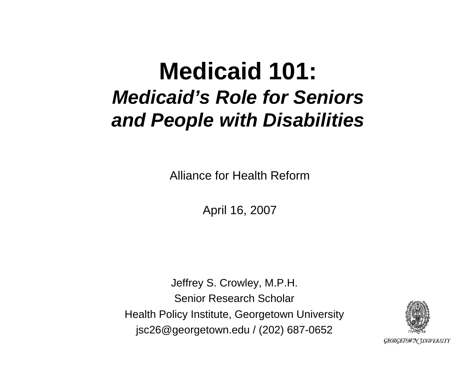#### **Medicaid 101:**  *Medicaid's Role for Seniors and People with Disabilities*

Alliance for Health Reform

April 16, 2007

Jeffrey S. Crowley, M.P.H. Senior Research ScholarHealth Policy Institute, Georgetown University jsc26@georgetown.edu / (202) 687-0652



**GEORGETOWN UNIVERSITY**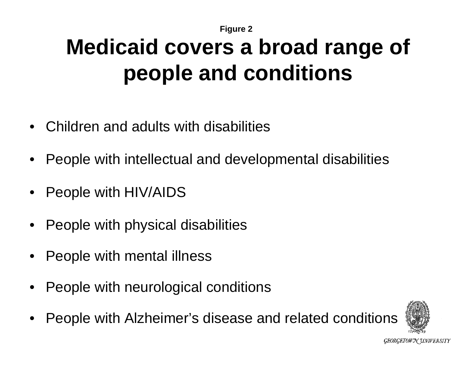## **Medicaid covers a broad range of people and conditions**

- Children and adults with disabilities
- People with intellectual and developmental disabilities
- People with HIV/AIDS
- People with physical disabilities
- People with mental illness
- People with neurological conditions
- People with Alzheimer's disease and related conditions

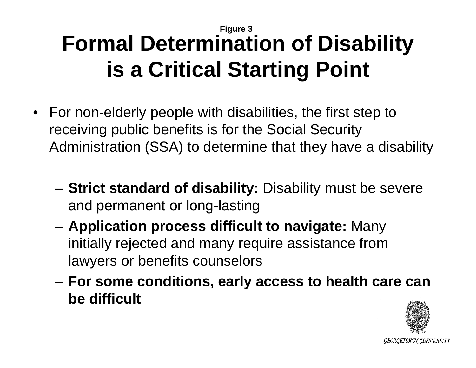#### **Figure 3 Formal Determination of Disability is a Critical Starting Point**

- For non-elderly people with disabilities, the first step to receiving public benefits is for the Social Security Administration (SSA) to determine that they have a disability
	- **Strict standard of disability:** Disability must be severe and permanent or long-lasting
	- **Application process difficult to navigate:** Many initially rejected and many require assistance from lawyers or benefits counselors
	- **For some conditions, early access to health care can be difficult**

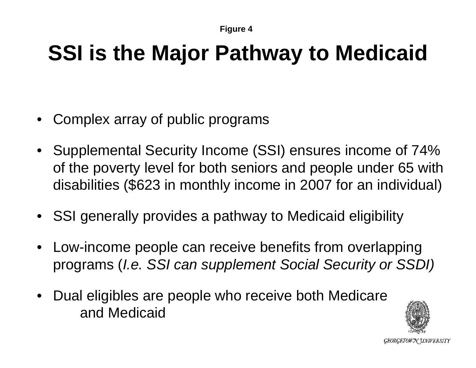## **SSI is the Major Pathway to Medicaid**

- Complex array of public programs
- Supplemental Security Income (SSI) ensures income of 74% of the poverty level for both seniors and people under 65 with disabilities (\$623 in monthly income in 2007 for an individual)
- SSI generally provides a pathway to Medicaid eligibility
- Low-income people can receive benefits from overlapping programs (*I.e. SSI can supplement Social Security or SSDI)*
- Dual eligibles are people who receive both Medicare and Medicaid

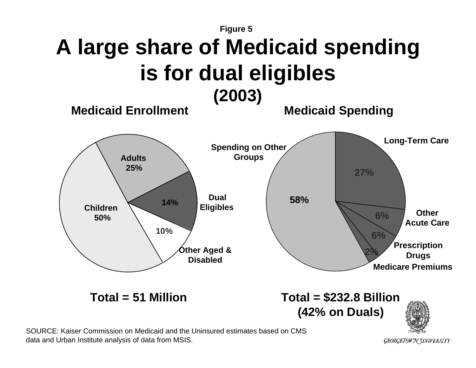

data and Urban Institute analysis of data from MSIS.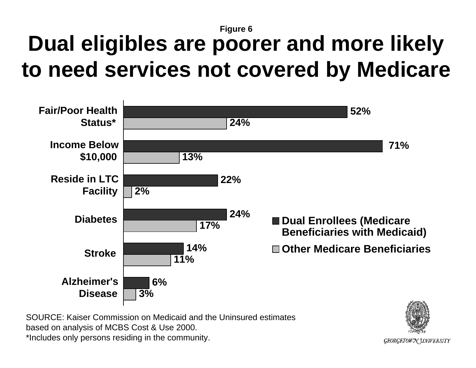#### **Dual eligibles are poorer and more likely to need services not covered by Medicare**



SOURCE: Kaiser Commission on Medicaid and the Uninsured estimates based on analysis of MCBS Cost & Use 2000. \*Includes only persons residing in the community.

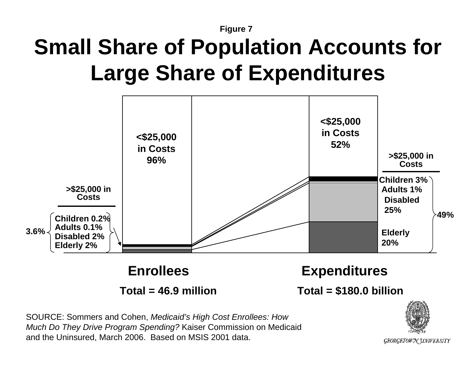## **Small Share of Population Accounts for Large Share of Expenditures**



**Total = 46.9 million**

**Total = \$180.0 billion**

SOURCE: Sommers and Cohen, *Medicaid's High Cost Enrollees: How Much Do They Drive Program Spending?* Kaiser Commission on Medicaid and the Uninsured, March 2006. Based on MSIS 2001 data.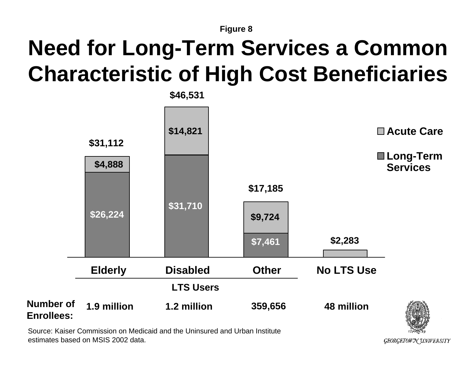## **Need for Long-Term Services a Common Characteristic of High Cost Beneficiaries**



Source: Kaiser Commission on Medicaid and the Uninsured and Urban Institute estimates based on MSIS 2002 data.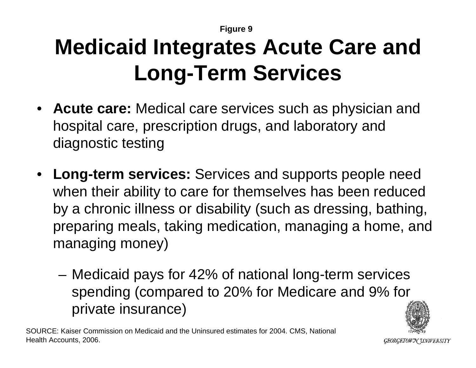# **Medicaid Integrates Acute Care and Long-Term Services**

- **Acute care:** Medical care services such as physician and hospital care, prescription drugs, and laboratory and diagnostic testing
- **Long-term services:** Services and supports people need when their ability to care for themselves has been reduced by a chronic illness or disability (such as dressing, bathing, preparing meals, taking medication, managing a home, and managing money)
	- Medicaid pays for 42% of national long-term services spending (compared to 20% for Medicare and 9% for private insurance)



SOURCE: Kaiser Commission on Medicaid and the Uninsured estimates for 2004. CMS, National Health Accounts, 2006.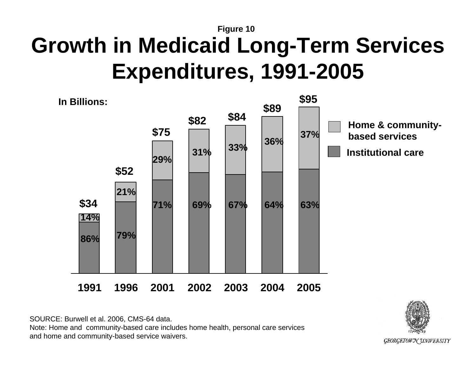#### **Figure 10 Growth in Medicaid Long-Term Services Expenditures, 1991-2005**



SOURCE: Burwell et al. 2006, CMS-64 data. Note: Home and community-based care includes home health, personal care services and home and community-based service waivers.

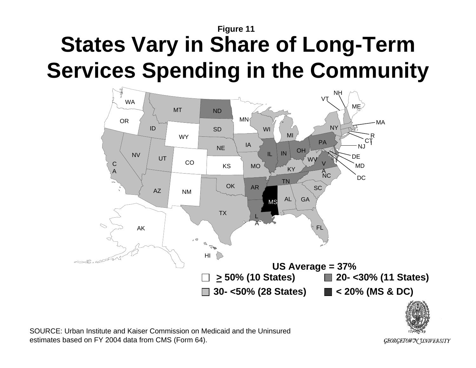#### **Figure 11 States Vary in Share of Long-Term Services Spending in the Community**





SOURCE: Urban Institute and Kaiser Commission on Medicaid and the Uninsured estimates based on FY 2004 data from CMS (Form 64).